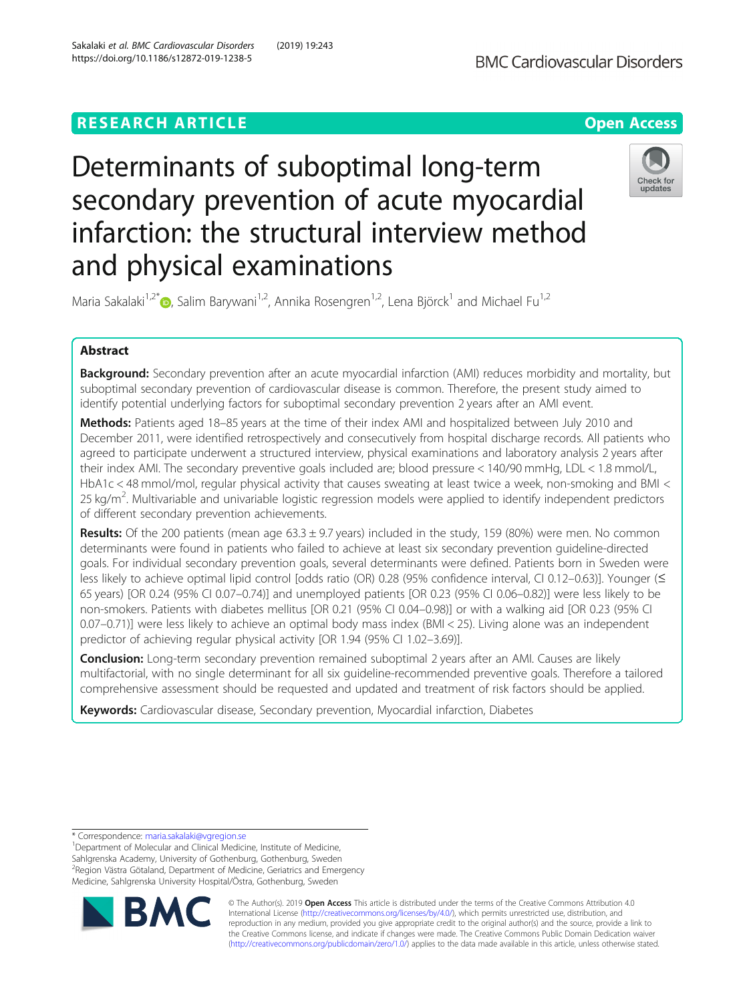## **RESEARCH ARTICLE Example 2014 12:30 The Contract of Contract ACCESS**

# Determinants of suboptimal long-term secondary prevention of acute myocardial infarction: the structural interview method and physical examinations



Maria Sakalaki<sup>1,2[\\*](http://orcid.org/0000-0003-4299-3672)</sup> <sub>(b)</sub>, Salim Barywani<sup>1,2</sup>, Annika Rosengren<sup>1,2</sup>, Lena Björck<sup>1</sup> and Michael Fu<sup>1,2</sup>

### Abstract

Background: Secondary prevention after an acute myocardial infarction (AMI) reduces morbidity and mortality, but suboptimal secondary prevention of cardiovascular disease is common. Therefore, the present study aimed to identify potential underlying factors for suboptimal secondary prevention 2 years after an AMI event.

Methods: Patients aged 18–85 years at the time of their index AMI and hospitalized between July 2010 and December 2011, were identified retrospectively and consecutively from hospital discharge records. All patients who agreed to participate underwent a structured interview, physical examinations and laboratory analysis 2 years after their index AMI. The secondary preventive goals included are; blood pressure < 140/90 mmHg, LDL < 1.8 mmol/L, HbA1c < 48 mmol/mol, regular physical activity that causes sweating at least twice a week, non-smoking and BMI < 25 kg/m<sup>2</sup>. Multivariable and univariable logistic regression models were applied to identify independent predictors of different secondary prevention achievements.

**Results:** Of the 200 patients (mean age  $63.3 \pm 9.7$  years) included in the study, 159 (80%) were men. No common determinants were found in patients who failed to achieve at least six secondary prevention guideline-directed goals. For individual secondary prevention goals, several determinants were defined. Patients born in Sweden were less likely to achieve optimal lipid control [odds ratio (OR) 0.28 (95% confidence interval, CI 0.12–0.63)]. Younger (≤ 65 years) [OR 0.24 (95% CI 0.07–0.74)] and unemployed patients [OR 0.23 (95% CI 0.06–0.82)] were less likely to be non-smokers. Patients with diabetes mellitus [OR 0.21 (95% CI 0.04–0.98)] or with a walking aid [OR 0.23 (95% CI 0.07–0.71)] were less likely to achieve an optimal body mass index (BMI < 25). Living alone was an independent predictor of achieving regular physical activity [OR 1.94 (95% CI 1.02–3.69)].

**Conclusion:** Long-term secondary prevention remained suboptimal 2 years after an AMI. Causes are likely multifactorial, with no single determinant for all six guideline-recommended preventive goals. Therefore a tailored comprehensive assessment should be requested and updated and treatment of risk factors should be applied.

Keywords: Cardiovascular disease, Secondary prevention, Myocardial infarction, Diabetes

<sup>1</sup>Department of Molecular and Clinical Medicine, Institute of Medicine, Sahlgrenska Academy, University of Gothenburg, Gothenburg, Sweden <sup>2</sup> Region Västra Götaland, Department of Medicine, Geriatrics and Emergency Medicine, Sahlgrenska University Hospital/Östra, Gothenburg, Sweden



© The Author(s). 2019 **Open Access** This article is distributed under the terms of the Creative Commons Attribution 4.0 International License [\(http://creativecommons.org/licenses/by/4.0/](http://creativecommons.org/licenses/by/4.0/)), which permits unrestricted use, distribution, and reproduction in any medium, provided you give appropriate credit to the original author(s) and the source, provide a link to the Creative Commons license, and indicate if changes were made. The Creative Commons Public Domain Dedication waiver [\(http://creativecommons.org/publicdomain/zero/1.0/](http://creativecommons.org/publicdomain/zero/1.0/)) applies to the data made available in this article, unless otherwise stated.

<sup>\*</sup> Correspondence: [maria.sakalaki@vgregion.se](mailto:maria.sakalaki@vgregion.se) <sup>1</sup>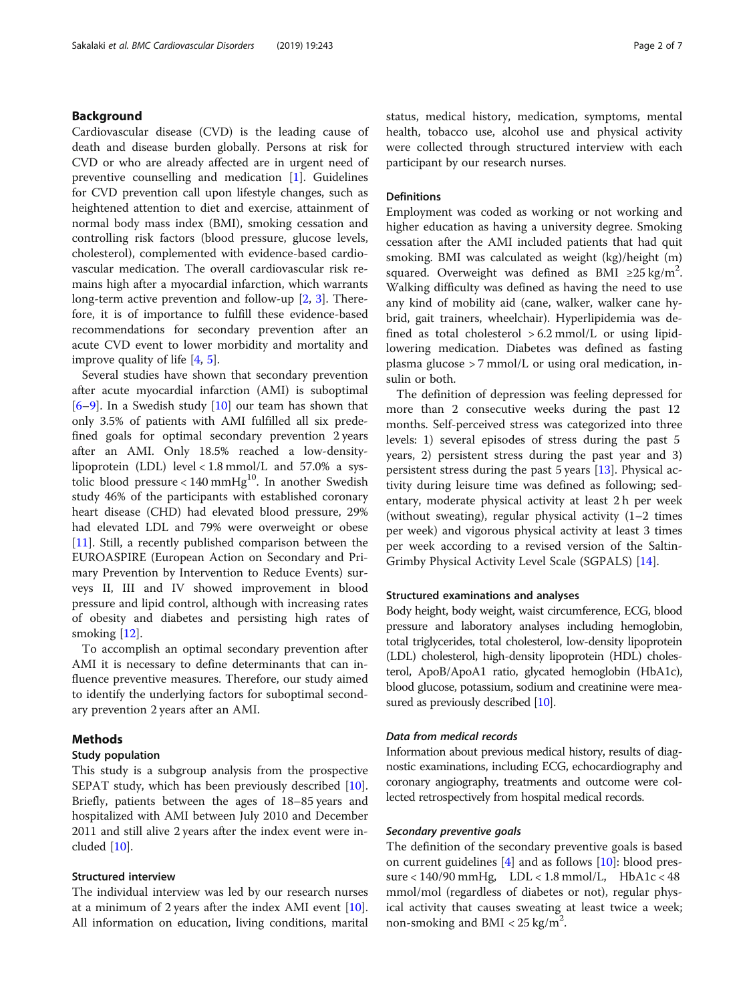#### Background

Cardiovascular disease (CVD) is the leading cause of death and disease burden globally. Persons at risk for CVD or who are already affected are in urgent need of preventive counselling and medication [\[1](#page-6-0)]. Guidelines for CVD prevention call upon lifestyle changes, such as heightened attention to diet and exercise, attainment of normal body mass index (BMI), smoking cessation and controlling risk factors (blood pressure, glucose levels, cholesterol), complemented with evidence-based cardiovascular medication. The overall cardiovascular risk remains high after a myocardial infarction, which warrants long-term active prevention and follow-up [[2,](#page-6-0) [3\]](#page-6-0). Therefore, it is of importance to fulfill these evidence-based recommendations for secondary prevention after an acute CVD event to lower morbidity and mortality and improve quality of life [\[4](#page-6-0), [5](#page-6-0)].

Several studies have shown that secondary prevention after acute myocardial infarction (AMI) is suboptimal  $[6-9]$  $[6-9]$  $[6-9]$  $[6-9]$ . In a Swedish study  $[10]$  $[10]$  our team has shown that only 3.5% of patients with AMI fulfilled all six predefined goals for optimal secondary prevention 2 years after an AMI. Only 18.5% reached a low-densitylipoprotein (LDL) level < 1.8 mmol/L and 57.0% a systolic blood pressure <  $140 \text{ mmHg}^{10}$ . In another Swedish study 46% of the participants with established coronary heart disease (CHD) had elevated blood pressure, 29% had elevated LDL and 79% were overweight or obese [[11\]](#page-6-0). Still, a recently published comparison between the EUROASPIRE (European Action on Secondary and Primary Prevention by Intervention to Reduce Events) surveys II, III and IV showed improvement in blood pressure and lipid control, although with increasing rates of obesity and diabetes and persisting high rates of smoking [\[12](#page-6-0)].

To accomplish an optimal secondary prevention after AMI it is necessary to define determinants that can influence preventive measures. Therefore, our study aimed to identify the underlying factors for suboptimal secondary prevention 2 years after an AMI.

#### Methods

#### Study population

This study is a subgroup analysis from the prospective SEPAT study, which has been previously described [\[10](#page-6-0)]. Briefly, patients between the ages of 18–85 years and hospitalized with AMI between July 2010 and December 2011 and still alive 2 years after the index event were included [[10\]](#page-6-0).

#### Structured interview

The individual interview was led by our research nurses at a minimum of 2 years after the index AMI event  $[10]$  $[10]$ . All information on education, living conditions, marital status, medical history, medication, symptoms, mental health, tobacco use, alcohol use and physical activity were collected through structured interview with each participant by our research nurses.

#### **Definitions**

Employment was coded as working or not working and higher education as having a university degree. Smoking cessation after the AMI included patients that had quit smoking. BMI was calculated as weight (kg)/height (m) squared. Overweight was defined as BMI ≥25 kg/m<sup>2</sup>. Walking difficulty was defined as having the need to use any kind of mobility aid (cane, walker, walker cane hybrid, gait trainers, wheelchair). Hyperlipidemia was defined as total cholesterol  $> 6.2$  mmol/L or using lipidlowering medication. Diabetes was defined as fasting plasma glucose > 7 mmol/L or using oral medication, insulin or both.

The definition of depression was feeling depressed for more than 2 consecutive weeks during the past 12 months. Self-perceived stress was categorized into three levels: 1) several episodes of stress during the past 5 years, 2) persistent stress during the past year and 3) persistent stress during the past 5 years [\[13\]](#page-6-0). Physical activity during leisure time was defined as following; sedentary, moderate physical activity at least 2 h per week (without sweating), regular physical activity  $(1-2$  times per week) and vigorous physical activity at least 3 times per week according to a revised version of the Saltin-Grimby Physical Activity Level Scale (SGPALS) [\[14\]](#page-6-0).

#### Structured examinations and analyses

Body height, body weight, waist circumference, ECG, blood pressure and laboratory analyses including hemoglobin, total triglycerides, total cholesterol, low-density lipoprotein (LDL) cholesterol, high-density lipoprotein (HDL) cholesterol, ApoB/ApoA1 ratio, glycated hemoglobin (HbA1c), blood glucose, potassium, sodium and creatinine were mea-sured as previously described [\[10\]](#page-6-0).

#### Data from medical records

Information about previous medical history, results of diagnostic examinations, including ECG, echocardiography and coronary angiography, treatments and outcome were collected retrospectively from hospital medical records.

#### Secondary preventive goals

The definition of the secondary preventive goals is based on current guidelines [\[4](#page-6-0)] and as follows [[10](#page-6-0)]: blood pressure < 140/90 mmHg, LDL < 1.8 mmol/L, HbA1c < 48 mmol/mol (regardless of diabetes or not), regular physical activity that causes sweating at least twice a week; non-smoking and BMI <  $25 \text{ kg/m}^2$ .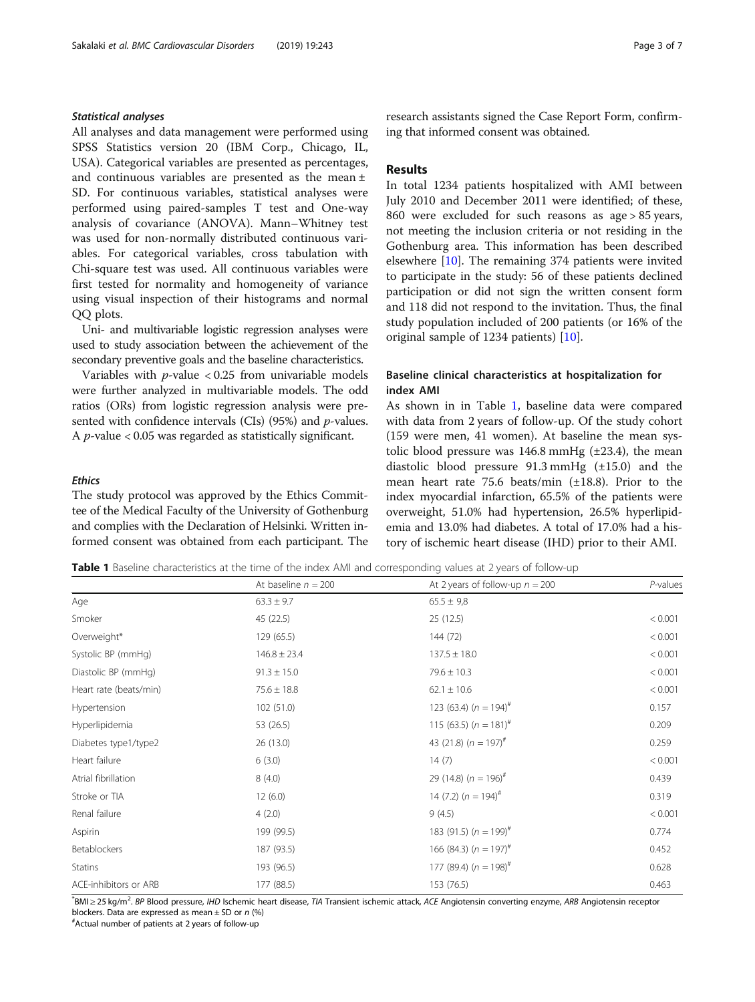#### Statistical analyses

All analyses and data management were performed using SPSS Statistics version 20 (IBM Corp., Chicago, IL, USA). Categorical variables are presented as percentages, and continuous variables are presented as the mean ± SD. For continuous variables, statistical analyses were performed using paired-samples T test and One-way analysis of covariance (ANOVA). Mann–Whitney test was used for non-normally distributed continuous variables. For categorical variables, cross tabulation with Chi-square test was used. All continuous variables were first tested for normality and homogeneity of variance using visual inspection of their histograms and normal QQ plots.

Uni- and multivariable logistic regression analyses were used to study association between the achievement of the secondary preventive goals and the baseline characteristics.

Variables with  $p$ -value < 0.25 from univariable models were further analyzed in multivariable models. The odd ratios (ORs) from logistic regression analysis were presented with confidence intervals (CIs) (95%) and p-values. A p-value < 0.05 was regarded as statistically significant.

#### **Ethics**

The study protocol was approved by the Ethics Committee of the Medical Faculty of the University of Gothenburg and complies with the Declaration of Helsinki. Written informed consent was obtained from each participant. The research assistants signed the Case Report Form, confirming that informed consent was obtained.

#### Results

In total 1234 patients hospitalized with AMI between July 2010 and December 2011 were identified; of these, 860 were excluded for such reasons as age > 85 years, not meeting the inclusion criteria or not residing in the Gothenburg area. This information has been described elsewhere [\[10\]](#page-6-0). The remaining 374 patients were invited to participate in the study: 56 of these patients declined participation or did not sign the written consent form and 118 did not respond to the invitation. Thus, the final study population included of 200 patients (or 16% of the original sample of 1234 patients) [[10\]](#page-6-0).

#### Baseline clinical characteristics at hospitalization for index AMI

As shown in in Table 1, baseline data were compared with data from 2 years of follow-up. Of the study cohort (159 were men, 41 women). At baseline the mean systolic blood pressure was  $146.8$  mmHg ( $\pm$ 23.4), the mean diastolic blood pressure 91.3 mmHg (±15.0) and the mean heart rate 75.6 beats/min (±18.8). Prior to the index myocardial infarction, 65.5% of the patients were overweight, 51.0% had hypertension, 26.5% hyperlipidemia and 13.0% had diabetes. A total of 17.0% had a history of ischemic heart disease (IHD) prior to their AMI.

Table 1 Baseline characteristics at the time of the index AMI and corresponding values at 2 years of follow-up

|                        | At baseline $n = 200$ | At 2 years of follow-up $n = 200$ | P-values |
|------------------------|-----------------------|-----------------------------------|----------|
| Age                    | $63.3 \pm 9.7$        | $65.5 \pm 9.8$                    |          |
| Smoker                 | 45 (22.5)             | 25 (12.5)                         | < 0.001  |
| Overweight*            | 129 (65.5)            | 144 (72)                          | < 0.001  |
| Systolic BP (mmHg)     | $146.8 \pm 23.4$      | $137.5 \pm 18.0$                  | < 0.001  |
| Diastolic BP (mmHg)    | $91.3 \pm 15.0$       | $79.6 \pm 10.3$                   | < 0.001  |
| Heart rate (beats/min) | $75.6 \pm 18.8$       | $62.1 \pm 10.6$                   | < 0.001  |
| Hypertension           | 102 (51.0)            | 123 (63.4) $(n = 194)^{\#}$       | 0.157    |
| Hyperlipidemia         | 53 (26.5)             | 115 (63.5) $(n = 181)^{\#}$       | 0.209    |
| Diabetes type1/type2   | 26 (13.0)             | 43 (21.8) $(n = 197)^{\#}$        | 0.259    |
| Heart failure          | 6(3.0)                | 14(7)                             | < 0.001  |
| Atrial fibrillation    | 8(4.0)                | 29 (14.8) $(n = 196)^{\#}$        | 0.439    |
| Stroke or TIA          | 12(6.0)               | 14 (7.2) $(n = 194)^{\#}$         | 0.319    |
| Renal failure          | 4(2.0)                | 9(4.5)                            | < 0.001  |
| Aspirin                | 199 (99.5)            | 183 (91.5) $(n = 199)^{\#}$       | 0.774    |
| Betablockers           | 187 (93.5)            | 166 (84.3) $(n = 197)^{\#}$       | 0.452    |
| <b>Statins</b>         | 193 (96.5)            | 177 (89.4) $(n = 198)^{\#}$       | 0.628    |
| ACE-inhibitors or ARB  | 177 (88.5)            | 153 (76.5)                        | 0.463    |

\* BMI ≥ 25 kg/m<sup>2</sup> . BP Blood pressure, IHD Ischemic heart disease, TIA Transient ischemic attack, ACE Angiotensin converting enzyme, ARB Angiotensin receptor blockers. Data are expressed as mean  $\pm$  SD or n (%)

Actual number of patients at 2 years of follow-up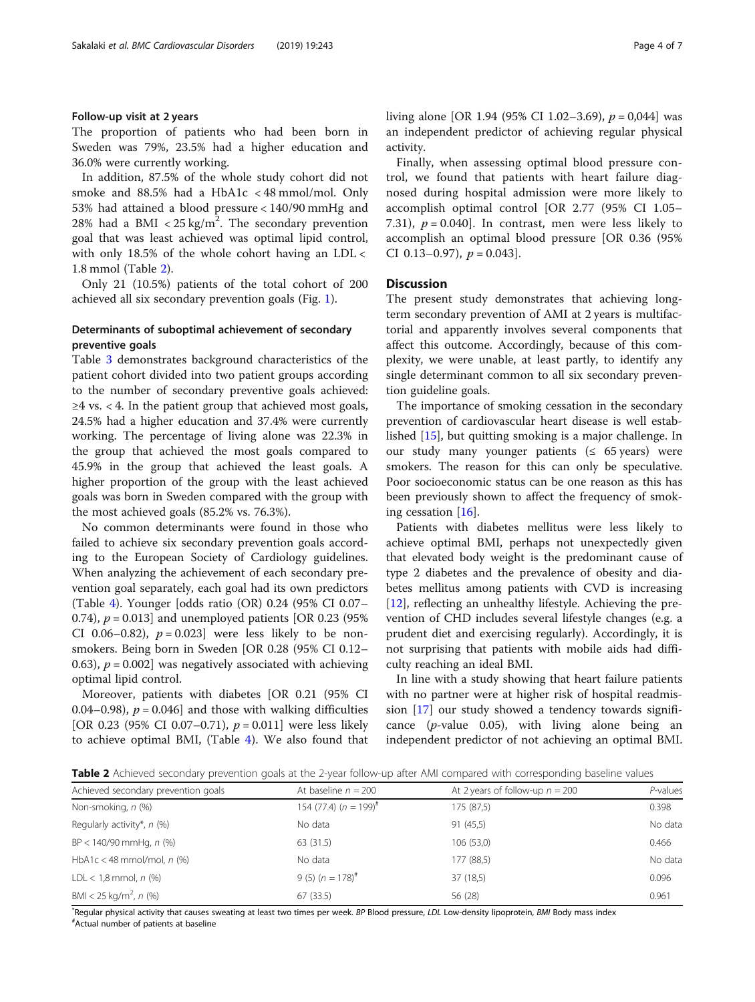#### Follow-up visit at 2 years

The proportion of patients who had been born in Sweden was 79%, 23.5% had a higher education and 36.0% were currently working.

In addition, 87.5% of the whole study cohort did not smoke and 88.5% had a HbA1c < 48 mmol/mol. Only 53% had attained a blood pressure < 140/90 mmHg and 28% had a BMI  $<$  25 kg/m<sup>2</sup>. The secondary prevention goal that was least achieved was optimal lipid control, with only 18.5% of the whole cohort having an LDL < 1.8 mmol (Table 2).

Only 21 (10.5%) patients of the total cohort of 200 achieved all six secondary prevention goals (Fig. [1\)](#page-4-0).

#### Determinants of suboptimal achievement of secondary preventive goals

Table [3](#page-4-0) demonstrates background characteristics of the patient cohort divided into two patient groups according to the number of secondary preventive goals achieved:  $\geq$ 4 vs. < 4. In the patient group that achieved most goals, 24.5% had a higher education and 37.4% were currently working. The percentage of living alone was 22.3% in the group that achieved the most goals compared to 45.9% in the group that achieved the least goals. A higher proportion of the group with the least achieved goals was born in Sweden compared with the group with the most achieved goals (85.2% vs. 76.3%).

No common determinants were found in those who failed to achieve six secondary prevention goals according to the European Society of Cardiology guidelines. When analyzing the achievement of each secondary prevention goal separately, each goal had its own predictors (Table [4](#page-5-0)). Younger [odds ratio (OR) 0.24 (95% CI 0.07– 0.74),  $p = 0.013$  and unemployed patients [OR 0.23 (95%) CI 0.06–0.82),  $p = 0.023$  were less likely to be nonsmokers. Being born in Sweden [OR 0.28 (95% CI 0.12– 0.63),  $p = 0.002$  was negatively associated with achieving optimal lipid control.

Moreover, patients with diabetes [OR 0.21 (95% CI 0.04–0.98),  $p = 0.046$  and those with walking difficulties [OR 0.23 (95% CI 0.07–0.71),  $p = 0.011$ ] were less likely to achieve optimal BMI, (Table [4](#page-5-0)). We also found that living alone [OR 1.94 (95% CI 1.02–3.69),  $p = 0.044$ ] was an independent predictor of achieving regular physical activity.

Finally, when assessing optimal blood pressure control, we found that patients with heart failure diagnosed during hospital admission were more likely to accomplish optimal control [OR 2.77 (95% CI 1.05– 7.31),  $p = 0.040$ . In contrast, men were less likely to accomplish an optimal blood pressure [OR 0.36 (95% CI 0.13–0.97),  $p = 0.043$ .

#### **Discussion**

The present study demonstrates that achieving longterm secondary prevention of AMI at 2 years is multifactorial and apparently involves several components that affect this outcome. Accordingly, because of this complexity, we were unable, at least partly, to identify any single determinant common to all six secondary prevention guideline goals.

The importance of smoking cessation in the secondary prevention of cardiovascular heart disease is well established [[15\]](#page-6-0), but quitting smoking is a major challenge. In our study many younger patients ( $\leq 65$  years) were smokers. The reason for this can only be speculative. Poor socioeconomic status can be one reason as this has been previously shown to affect the frequency of smoking cessation [\[16](#page-6-0)].

Patients with diabetes mellitus were less likely to achieve optimal BMI, perhaps not unexpectedly given that elevated body weight is the predominant cause of type 2 diabetes and the prevalence of obesity and diabetes mellitus among patients with CVD is increasing [[12\]](#page-6-0), reflecting an unhealthy lifestyle. Achieving the prevention of CHD includes several lifestyle changes (e.g. a prudent diet and exercising regularly). Accordingly, it is not surprising that patients with mobile aids had difficulty reaching an ideal BMI.

In line with a study showing that heart failure patients with no partner were at higher risk of hospital readmission [[17\]](#page-6-0) our study showed a tendency towards significance  $(p$ -value 0.05), with living alone being an independent predictor of not achieving an optimal BMI.

Table 2 Achieved secondary prevention goals at the 2-year follow-up after AMI compared with corresponding baseline values

| Achieved secondary prevention goals | At baseline $n = 200$       | At 2 years of follow-up $n = 200$ | $P$ -values |
|-------------------------------------|-----------------------------|-----------------------------------|-------------|
| Non-smoking, n (%)                  | 154 (77.4) $(n = 199)^{\#}$ | 175 (87,5)                        | 0.398       |
| Regularly activity*, $n$ (%)        | No data                     | 91(45,5)                          | No data     |
| $BP < 140/90$ mmHq, n (%)           | 63 (31.5)                   | 106(53,0)                         | 0.466       |
| HbA1c < 48 mmol/mol, $n$ (%)        | No data                     | 177 (88,5)                        | No data     |
| $LDL < 1.8$ mmol, $n$ (%)           | 9 (5) $(n = 178)^{\#}$      | 37 (18,5)                         | 0.096       |
| BMI < 25 kg/m <sup>2</sup> , n (%)  | 67(33.5)                    | 56 (28)                           | 0.961       |

\*Regular physical activity that causes sweating at least two times per week. BP Blood pressure, LDL Low-density lipoprotein, BMI Body mass index<br>#Actual number of patients at baseline Actual number of patients at baseline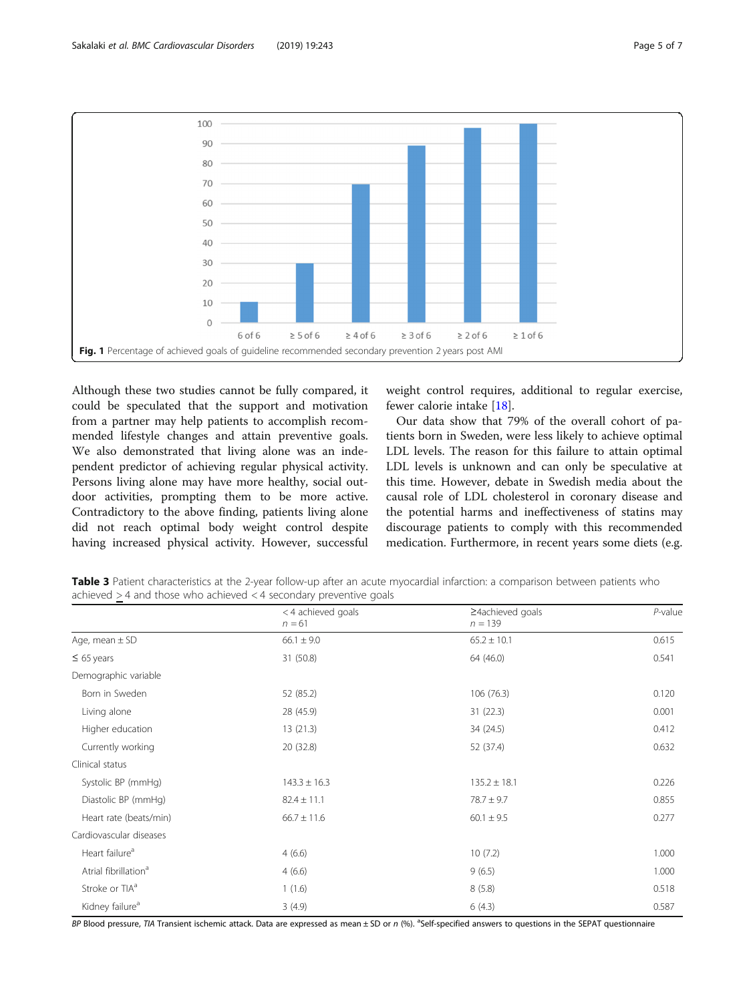<span id="page-4-0"></span>

Although these two studies cannot be fully compared, it could be speculated that the support and motivation from a partner may help patients to accomplish recommended lifestyle changes and attain preventive goals. We also demonstrated that living alone was an independent predictor of achieving regular physical activity. Persons living alone may have more healthy, social outdoor activities, prompting them to be more active. Contradictory to the above finding, patients living alone did not reach optimal body weight control despite having increased physical activity. However, successful

weight control requires, additional to regular exercise, fewer calorie intake [[18\]](#page-6-0).

Our data show that 79% of the overall cohort of patients born in Sweden, were less likely to achieve optimal LDL levels. The reason for this failure to attain optimal LDL levels is unknown and can only be speculative at this time. However, debate in Swedish media about the causal role of LDL cholesterol in coronary disease and the potential harms and ineffectiveness of statins may discourage patients to comply with this recommended medication. Furthermore, in recent years some diets (e.g.

Table 3 Patient characteristics at the 2-year follow-up after an acute myocardial infarction: a comparison between patients who achieved > 4 and those who achieved < 4 secondary preventive goals

|                                  | < 4 achieved goals | ≥4achieved goals | $P$ -value |
|----------------------------------|--------------------|------------------|------------|
|                                  | $n = 61$           | $n = 139$        |            |
| Age, mean $\pm$ SD               | $66.1 \pm 9.0$     | $65.2 \pm 10.1$  | 0.615      |
| $\leq 65$ years                  | 31 (50.8)          | 64 (46.0)        | 0.541      |
| Demographic variable             |                    |                  |            |
| Born in Sweden                   | 52 (85.2)          | 106 (76.3)       | 0.120      |
| Living alone                     | 28 (45.9)          | 31(22.3)         | 0.001      |
| Higher education                 | 13(21.3)           | 34 (24.5)        | 0.412      |
| Currently working                | 20 (32.8)          | 52 (37.4)        | 0.632      |
| Clinical status                  |                    |                  |            |
| Systolic BP (mmHg)               | $143.3 \pm 16.3$   | $135.2 \pm 18.1$ | 0.226      |
| Diastolic BP (mmHg)              | $82.4 \pm 11.1$    | $78.7 \pm 9.7$   | 0.855      |
| Heart rate (beats/min)           | $66.7 \pm 11.6$    | $60.1 \pm 9.5$   | 0.277      |
| Cardiovascular diseases          |                    |                  |            |
| Heart failure <sup>a</sup>       | 4(6.6)             | 10(7.2)          | 1.000      |
| Atrial fibrillation <sup>a</sup> | 4(6.6)             | 9(6.5)           | 1.000      |
| Stroke or TIA <sup>a</sup>       | 1(1.6)             | 8(5.8)           | 0.518      |
| Kidney failure <sup>a</sup>      | 3(4.9)             | 6(4.3)           | 0.587      |

BP Blood pressure, TIA Transient ischemic attack. Data are expressed as mean ± SD or n (%). <sup>a</sup>Self-specified answers to questions in the SEPAT questionnaire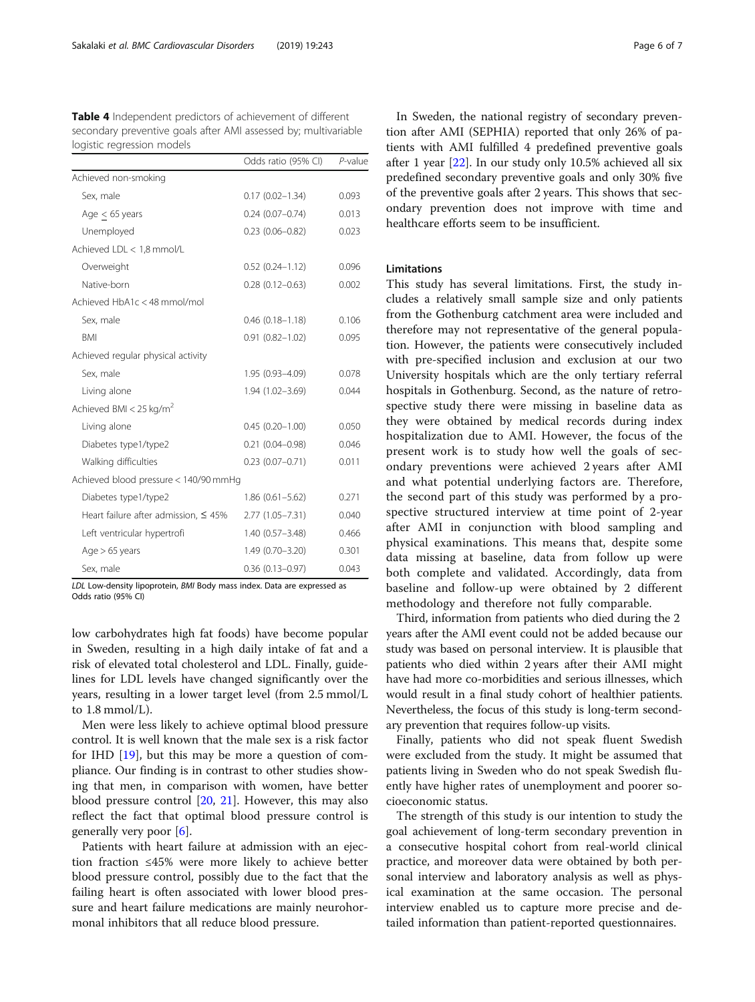<span id="page-5-0"></span>Table 4 Independent predictors of achievement of different secondary preventive goals after AMI assessed by; multivariable logistic regression models

|                                            | Odds ratio (95% CI) | P-value |
|--------------------------------------------|---------------------|---------|
| Achieved non-smoking                       |                     |         |
| Sex, male                                  | $0.17(0.02 - 1.34)$ | 0.093   |
| Age $<$ 65 years                           | $0.24(0.07 - 0.74)$ | 0.013   |
| Unemployed                                 | $0.23(0.06 - 0.82)$ | 0.023   |
| Achieved LDL < 1,8 mmol/L                  |                     |         |
| Overweight                                 | $0.52(0.24 - 1.12)$ | 0.096   |
| Native-born                                | $0.28(0.12 - 0.63)$ | 0.002   |
| Achieved HbA1c < 48 mmol/mol               |                     |         |
| Sex, male                                  | $0.46(0.18 - 1.18)$ | 0.106   |
| <b>BMI</b>                                 | $0.91(0.82 - 1.02)$ | 0.095   |
| Achieved regular physical activity         |                     |         |
| Sex, male                                  | 1.95 (0.93-4.09)    | 0.078   |
| Living alone                               | 1.94 (1.02-3.69)    | 0.044   |
| Achieved BMI < 25 kg/m <sup>2</sup>        |                     |         |
| Living alone                               | $0.45(0.20 - 1.00)$ | 0.050   |
| Diabetes type1/type2                       | $0.21(0.04 - 0.98)$ | 0.046   |
| Walking difficulties                       | $0.23(0.07 - 0.71)$ | 0.011   |
| Achieved blood pressure < 140/90 mmHg      |                     |         |
| Diabetes type1/type2                       | $1.86(0.61 - 5.62)$ | 0.271   |
| Heart failure after admission, $\leq 45\%$ | $2.77(1.05 - 7.31)$ | 0.040   |
| Left ventricular hypertrofi                | $1.40(0.57 - 3.48)$ | 0.466   |
| $Age > 65$ years                           | $1.49(0.70 - 3.20)$ | 0.301   |
| Sex, male                                  | $0.36(0.13 - 0.97)$ | 0.043   |

LDL Low-density lipoprotein, BMI Body mass index. Data are expressed as Odds ratio (95% CI)

low carbohydrates high fat foods) have become popular in Sweden, resulting in a high daily intake of fat and a risk of elevated total cholesterol and LDL. Finally, guidelines for LDL levels have changed significantly over the years, resulting in a lower target level (from 2.5 mmol/L to 1.8 mmol/L).

Men were less likely to achieve optimal blood pressure control. It is well known that the male sex is a risk factor for IHD [[19\]](#page-6-0), but this may be more a question of compliance. Our finding is in contrast to other studies showing that men, in comparison with women, have better blood pressure control [\[20,](#page-6-0) [21\]](#page-6-0). However, this may also reflect the fact that optimal blood pressure control is generally very poor  $[6]$  $[6]$ .

Patients with heart failure at admission with an ejection fraction ≤45% were more likely to achieve better blood pressure control, possibly due to the fact that the failing heart is often associated with lower blood pressure and heart failure medications are mainly neurohormonal inhibitors that all reduce blood pressure.

In Sweden, the national registry of secondary prevention after AMI (SEPHIA) reported that only 26% of patients with AMI fulfilled 4 predefined preventive goals after 1 year [\[22](#page-6-0)]. In our study only 10.5% achieved all six predefined secondary preventive goals and only 30% five of the preventive goals after 2 years. This shows that secondary prevention does not improve with time and healthcare efforts seem to be insufficient.

#### Limitations

This study has several limitations. First, the study includes a relatively small sample size and only patients from the Gothenburg catchment area were included and therefore may not representative of the general population. However, the patients were consecutively included with pre-specified inclusion and exclusion at our two University hospitals which are the only tertiary referral hospitals in Gothenburg. Second, as the nature of retrospective study there were missing in baseline data as they were obtained by medical records during index hospitalization due to AMI. However, the focus of the present work is to study how well the goals of secondary preventions were achieved 2 years after AMI and what potential underlying factors are. Therefore, the second part of this study was performed by a prospective structured interview at time point of 2-year after AMI in conjunction with blood sampling and physical examinations. This means that, despite some data missing at baseline, data from follow up were both complete and validated. Accordingly, data from baseline and follow-up were obtained by 2 different methodology and therefore not fully comparable.

Third, information from patients who died during the 2 years after the AMI event could not be added because our study was based on personal interview. It is plausible that patients who died within 2 years after their AMI might have had more co-morbidities and serious illnesses, which would result in a final study cohort of healthier patients. Nevertheless, the focus of this study is long-term secondary prevention that requires follow-up visits.

Finally, patients who did not speak fluent Swedish were excluded from the study. It might be assumed that patients living in Sweden who do not speak Swedish fluently have higher rates of unemployment and poorer socioeconomic status.

The strength of this study is our intention to study the goal achievement of long-term secondary prevention in a consecutive hospital cohort from real-world clinical practice, and moreover data were obtained by both personal interview and laboratory analysis as well as physical examination at the same occasion. The personal interview enabled us to capture more precise and detailed information than patient-reported questionnaires.